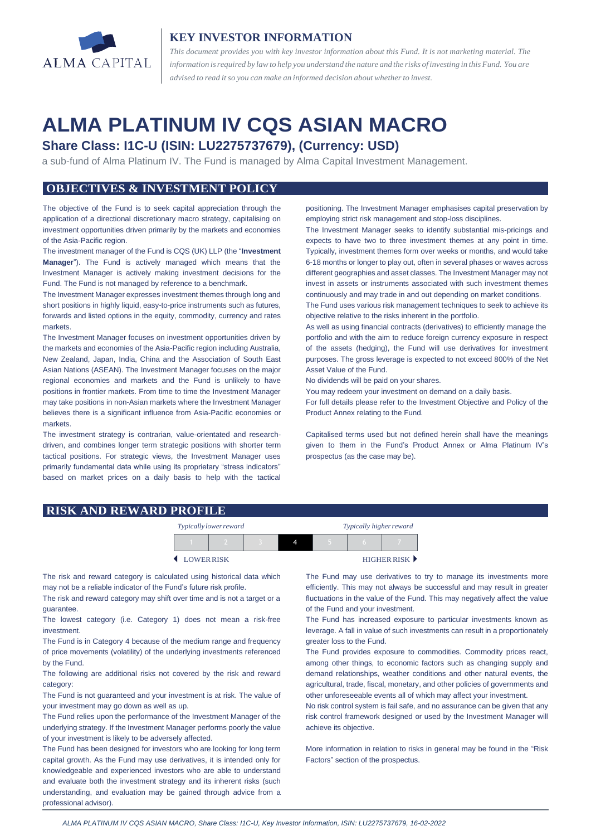

## **KEY INVESTOR INFORMATION**

*This document provides you with key investor information about this Fund. It is not marketing material. The* information is required by law to help you understand the nature and the risks of investing in this Fund. You are *advised to read it so you can make an informed decision about whetherto invest.*

# **ALMA PLATINUM IV CQS ASIAN MACRO**

# **Share Class: I1C-U (ISIN: LU2275737679), (Currency: USD)**

a sub-fund of Alma Platinum IV. The Fund is managed by Alma Capital Investment Management.

## **OBJECTIVES & INVESTMENT POLICY**

The objective of the Fund is to seek capital appreciation through the application of a directional discretionary macro strategy, capitalising on investment opportunities driven primarily by the markets and economies of the Asia-Pacific region.

The investment manager of the Fund is CQS (UK) LLP (the "**Investment Manager**"). The Fund is actively managed which means that the Investment Manager is actively making investment decisions for the Fund. The Fund is not managed by reference to a benchmark.

The Investment Manager expresses investment themes through long and short positions in highly liquid, easy-to-price instruments such as futures, forwards and listed options in the equity, commodity, currency and rates markets.

The Investment Manager focuses on investment opportunities driven by the markets and economies of the Asia-Pacific region including Australia, New Zealand, Japan, India, China and the Association of South East Asian Nations (ASEAN). The Investment Manager focuses on the major regional economies and markets and the Fund is unlikely to have positions in frontier markets. From time to time the Investment Manager may take positions in non-Asian markets where the Investment Manager believes there is a significant influence from Asia-Pacific economies or markets.

The investment strategy is contrarian, value-orientated and researchdriven, and combines longer term strategic positions with shorter term tactical positions. For strategic views, the Investment Manager uses primarily fundamental data while using its proprietary "stress indicators" based on market prices on a daily basis to help with the tactical positioning. The Investment Manager emphasises capital preservation by employing strict risk management and stop-loss disciplines.

The Investment Manager seeks to identify substantial mis-pricings and expects to have two to three investment themes at any point in time. Typically, investment themes form over weeks or months, and would take 6-18 months or longer to play out, often in several phases or waves across different geographies and asset classes. The Investment Manager may not invest in assets or instruments associated with such investment themes continuously and may trade in and out depending on market conditions.

The Fund uses various risk management techniques to seek to achieve its objective relative to the risks inherent in the portfolio.

As well as using financial contracts (derivatives) to efficiently manage the portfolio and with the aim to reduce foreign currency exposure in respect of the assets (hedging), the Fund will use derivatives for investment purposes. The gross leverage is expected to not exceed 800% of the Net Asset Value of the Fund.

No dividends will be paid on your shares.

You may redeem your investment on demand on a daily basis.

For full details please refer to the Investment Objective and Policy of the Product Annex relating to the Fund.

Capitalised terms used but not defined herein shall have the meanings given to them in the Fund's Product Annex or Alma Platinum IV's prospectus (as the case may be).

#### **RISK AND REWARD PROFILE**

| Typically lower reward |  |  |  | Typically higher reward |  |             |
|------------------------|--|--|--|-------------------------|--|-------------|
|                        |  |  |  |                         |  |             |
| LOWERRISK              |  |  |  |                         |  | HIGHER RISK |

The risk and reward category is calculated using historical data which may not be a reliable indicator of the Fund's future risk profile.

The risk and reward category may shift over time and is not a target or a guarantee.

The lowest category (i.e. Category 1) does not mean a risk-free investment.

The Fund is in Category 4 because of the medium range and frequency of price movements (volatility) of the underlying investments referenced by the Fund.

The following are additional risks not covered by the risk and reward category:

The Fund is not guaranteed and your investment is at risk. The value of your investment may go down as well as up.

The Fund relies upon the performance of the Investment Manager of the underlying strategy. If the Investment Manager performs poorly the value of your investment is likely to be adversely affected.

The Fund has been designed for investors who are looking for long term capital growth. As the Fund may use derivatives, it is intended only for knowledgeable and experienced investors who are able to understand and evaluate both the investment strategy and its inherent risks (such understanding, and evaluation may be gained through advice from a professional advisor).

The Fund may use derivatives to try to manage its investments more efficiently. This may not always be successful and may result in greater fluctuations in the value of the Fund. This may negatively affect the value of the Fund and your investment.

The Fund has increased exposure to particular investments known as leverage. A fall in value of such investments can result in a proportionately greater loss to the Fund.

The Fund provides exposure to commodities. Commodity prices react, among other things, to economic factors such as changing supply and demand relationships, weather conditions and other natural events, the agricultural, trade, fiscal, monetary, and other policies of governments and other unforeseeable events all of which may affect your investment.

No risk control system is fail safe, and no assurance can be given that any risk control framework designed or used by the Investment Manager will achieve its objective.

More information in relation to risks in general may be found in the "Risk Factors" section of the prospectus.